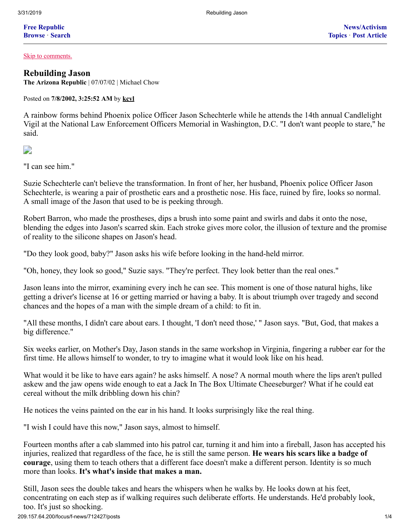**Free [Republic](http://209.157.64.200/home.htm) [Browse](http://209.157.64.200/tag/*/index)** · **[Search](http://209.157.64.200/focus/search)**

[Skip to comments.](#page-3-0)

## **[Rebuilding Jason](http://209.157.64.200/focus/f-news/712427/posts)**

**The Arizona Republic** | 07/07/02 | Michael Chow

Posted on **7/8/2002, 3:25:52 AM** by **[kcvl](http://209.157.64.200/~kcvl/)**

A rainbow forms behind Phoenix police Officer Jason Schechterle while he attends the 14th annual Candlelight Vigil at the National Law Enforcement Officers Memorial in Washington, D.C. "I don't want people to stare," he said.

D

"I can see him."

Suzie Schechterle can't believe the transformation. In front of her, her husband, Phoenix police Officer Jason Schechterle, is wearing a pair of prosthetic ears and a prosthetic nose. His face, ruined by fire, looks so normal. A small image of the Jason that used to be is peeking through.

Robert Barron, who made the prostheses, dips a brush into some paint and swirls and dabs it onto the nose, blending the edges into Jason's scarred skin. Each stroke gives more color, the illusion of texture and the promise of reality to the silicone shapes on Jason's head.

"Do they look good, baby?" Jason asks his wife before looking in the hand-held mirror.

"Oh, honey, they look so good," Suzie says. "They're perfect. They look better than the real ones."

Jason leans into the mirror, examining every inch he can see. This moment is one of those natural highs, like getting a driver's license at 16 or getting married or having a baby. It is about triumph over tragedy and second chances and the hopes of a man with the simple dream of a child: to fit in.

"All these months, I didn't care about ears. I thought, 'I don't need those,' " Jason says. "But, God, that makes a big difference."

Six weeks earlier, on Mother's Day, Jason stands in the same workshop in Virginia, fingering a rubber ear for the first time. He allows himself to wonder, to try to imagine what it would look like on his head.

What would it be like to have ears again? he asks himself. A nose? A normal mouth where the lips aren't pulled askew and the jaw opens wide enough to eat a Jack In The Box Ultimate Cheeseburger? What if he could eat cereal without the milk dribbling down his chin?

He notices the veins painted on the ear in his hand. It looks surprisingly like the real thing.

"I wish I could have this now," Jason says, almost to himself.

Fourteen months after a cab slammed into his patrol car, turning it and him into a fireball, Jason has accepted his injuries, realized that regardless of the face, he is still the same person. **He wears his scars like a badge of courage**, using them to teach others that a different face doesn't make a different person. Identity is so much more than looks. **It's what's inside that makes a man.**

209.157.64.200/focus/f-news/712427/posts 1/4 Still, Jason sees the double takes and hears the whispers when he walks by. He looks down at his feet, concentrating on each step as if walking requires such deliberate efforts. He understands. He'd probably look, too. It's just so shocking.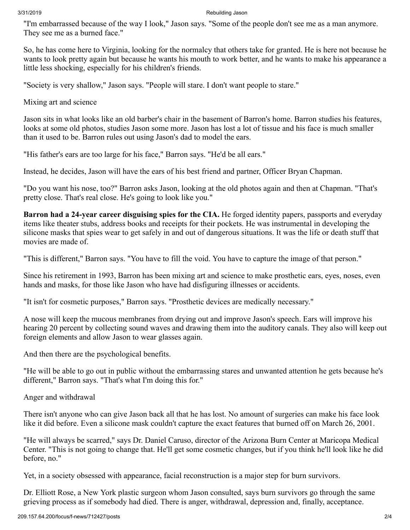### 3/31/2019 Rebuilding Jason

"I'm embarrassed because of the way I look," Jason says. "Some of the people don't see me as a man anymore. They see me as a burned face."

So, he has come here to Virginia, looking for the normalcy that others take for granted. He is here not because he wants to look pretty again but because he wants his mouth to work better, and he wants to make his appearance a little less shocking, especially for his children's friends.

"Society is very shallow," Jason says. "People will stare. I don't want people to stare."

Mixing art and science

Jason sits in what looks like an old barber's chair in the basement of Barron's home. Barron studies his features, looks at some old photos, studies Jason some more. Jason has lost a lot of tissue and his face is much smaller than it used to be. Barron rules out using Jason's dad to model the ears.

"His father's ears are too large for his face," Barron says. "He'd be all ears."

Instead, he decides, Jason will have the ears of his best friend and partner, Officer Bryan Chapman.

"Do you want his nose, too?" Barron asks Jason, looking at the old photos again and then at Chapman. "That's pretty close. That's real close. He's going to look like you."

**Barron had a 24-year career disguising spies for the CIA.** He forged identity papers, passports and everyday items like theater stubs, address books and receipts for their pockets. He was instrumental in developing the silicone masks that spies wear to get safely in and out of dangerous situations. It was the life or death stuff that movies are made of.

"This is different," Barron says. "You have to fill the void. You have to capture the image of that person."

Since his retirement in 1993, Barron has been mixing art and science to make prosthetic ears, eyes, noses, even hands and masks, for those like Jason who have had disfiguring illnesses or accidents.

"It isn't for cosmetic purposes," Barron says. "Prosthetic devices are medically necessary."

A nose will keep the mucous membranes from drying out and improve Jason's speech. Ears will improve his hearing 20 percent by collecting sound waves and drawing them into the auditory canals. They also will keep out foreign elements and allow Jason to wear glasses again.

And then there are the psychological benefits.

"He will be able to go out in public without the embarrassing stares and unwanted attention he gets because he's different," Barron says. "That's what I'm doing this for."

Anger and withdrawal

There isn't anyone who can give Jason back all that he has lost. No amount of surgeries can make his face look like it did before. Even a silicone mask couldn't capture the exact features that burned off on March 26, 2001.

"He will always be scarred," says Dr. Daniel Caruso, director of the Arizona Burn Center at Maricopa Medical Center. "This is not going to change that. He'll get some cosmetic changes, but if you think he'll look like he did before, no."

Yet, in a society obsessed with appearance, facial reconstruction is a major step for burn survivors.

Dr. Elliott Rose, a New York plastic surgeon whom Jason consulted, says burn survivors go through the same grieving process as if somebody had died. There is anger, withdrawal, depression and, finally, acceptance.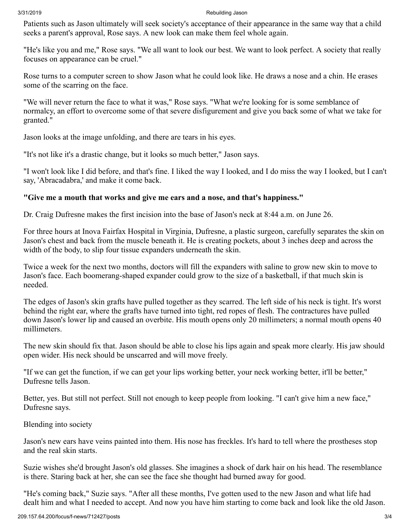### 3/31/2019 Rebuilding Jason

Patients such as Jason ultimately will seek society's acceptance of their appearance in the same way that a child seeks a parent's approval, Rose says. A new look can make them feel whole again.

"He's like you and me," Rose says. "We all want to look our best. We want to look perfect. A society that really focuses on appearance can be cruel."

Rose turns to a computer screen to show Jason what he could look like. He draws a nose and a chin. He erases some of the scarring on the face.

"We will never return the face to what it was," Rose says. "What we're looking for is some semblance of normalcy, an effort to overcome some of that severe disfigurement and give you back some of what we take for granted."

Jason looks at the image unfolding, and there are tears in his eyes.

"It's not like it's a drastic change, but it looks so much better," Jason says.

"I won't look like I did before, and that's fine. I liked the way I looked, and I do miss the way I looked, but I can't say, 'Abracadabra,' and make it come back.

# **"Give me a mouth that works and give me ears and a nose, and that's happiness."**

Dr. Craig Dufresne makes the first incision into the base of Jason's neck at 8:44 a.m. on June 26.

For three hours at Inova Fairfax Hospital in Virginia, Dufresne, a plastic surgeon, carefully separates the skin on Jason's chest and back from the muscle beneath it. He is creating pockets, about 3 inches deep and across the width of the body, to slip four tissue expanders underneath the skin.

Twice a week for the next two months, doctors will fill the expanders with saline to grow new skin to move to Jason's face. Each boomerang-shaped expander could grow to the size of a basketball, if that much skin is needed.

The edges of Jason's skin grafts have pulled together as they scarred. The left side of his neck is tight. It's worst behind the right ear, where the grafts have turned into tight, red ropes of flesh. The contractures have pulled down Jason's lower lip and caused an overbite. His mouth opens only 20 millimeters; a normal mouth opens 40 millimeters.

The new skin should fix that. Jason should be able to close his lips again and speak more clearly. His jaw should open wider. His neck should be unscarred and will move freely.

"If we can get the function, if we can get your lips working better, your neck working better, it'll be better," Dufresne tells Jason.

Better, yes. But still not perfect. Still not enough to keep people from looking. "I can't give him a new face," Dufresne says.

Blending into society

Jason's new ears have veins painted into them. His nose has freckles. It's hard to tell where the prostheses stop and the real skin starts.

Suzie wishes she'd brought Jason's old glasses. She imagines a shock of dark hair on his head. The resemblance is there. Staring back at her, she can see the face she thought had burned away for good.

"He's coming back," Suzie says. "After all these months, I've gotten used to the new Jason and what life had dealt him and what I needed to accept. And now you have him starting to come back and look like the old Jason.